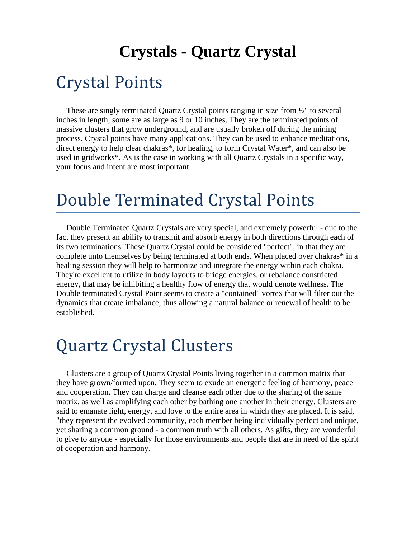#### **Crystals - Quartz Crystal**

#### Crystal Points

 These are singly terminated Quartz Crystal points ranging in size from ½" to several inches in length; some are as large as 9 or 10 inches. They are the terminated points of massive clusters that grow underground, and are usually broken off during the mining process. Crystal points have many applications. They can be used to enhance meditations, direct energy to help clear chakras\*, for healing, to form Crystal Water\*, and can also be used in gridworks\*. As is the case in working with all Quartz Crystals in a specific way, your focus and intent are most important.

#### Double Terminated Crystal Points

 Double Terminated Quartz Crystals are very special, and extremely powerful - due to the fact they present an ability to transmit and absorb energy in both directions through each of its two terminations. These Quartz Crystal could be considered "perfect", in that they are complete unto themselves by being terminated at both ends. When placed over chakras\* in a healing session they will help to harmonize and integrate the energy within each chakra. They're excellent to utilize in body layouts to bridge energies, or rebalance constricted energy, that may be inhibiting a healthy flow of energy that would denote wellness. The Double terminated Crystal Point seems to create a "contained" vortex that will filter out the dynamics that create imbalance; thus allowing a natural balance or renewal of health to be established.

## Quartz Crystal Clusters

 Clusters are a group of Quartz Crystal Points living together in a common matrix that they have grown/formed upon. They seem to exude an energetic feeling of harmony, peace and cooperation. They can charge and cleanse each other due to the sharing of the same matrix, as well as amplifying each other by bathing one another in their energy. Clusters are said to emanate light, energy, and love to the entire area in which they are placed. It is said, "they represent the evolved community, each member being individually perfect and unique, yet sharing a common ground - a common truth with all others. As gifts, they are wonderful to give to anyone - especially for those environments and people that are in need of the spirit of cooperation and harmony.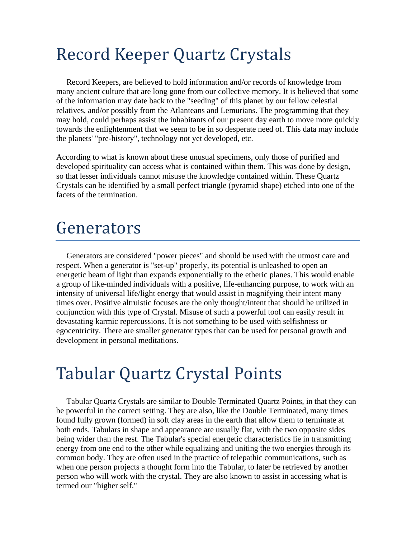# Record Keeper Quartz Crystals

 Record Keepers, are believed to hold information and/or records of knowledge from many ancient culture that are long gone from our collective memory. It is believed that some of the information may date back to the "seeding" of this planet by our fellow celestial relatives, and/or possibly from the Atlanteans and Lemurians. The programming that they may hold, could perhaps assist the inhabitants of our present day earth to move more quickly towards the enlightenment that we seem to be in so desperate need of. This data may include the planets' "pre-history", technology not yet developed, etc.

According to what is known about these unusual specimens, only those of purified and developed spirituality can access what is contained within them. This was done by design, so that lesser individuals cannot misuse the knowledge contained within. These Quartz Crystals can be identified by a small perfect triangle (pyramid shape) etched into one of the facets of the termination.

#### Generators

 Generators are considered "power pieces" and should be used with the utmost care and respect. When a generator is "set-up" properly, its potential is unleashed to open an energetic beam of light than expands exponentially to the etheric planes. This would enable a group of like-minded individuals with a positive, life-enhancing purpose, to work with an intensity of universal life/light energy that would assist in magnifying their intent many times over. Positive altruistic focuses are the only thought/intent that should be utilized in conjunction with this type of Crystal. Misuse of such a powerful tool can easily result in devastating karmic repercussions. It is not something to be used with selfishness or egocentricity. There are smaller generator types that can be used for personal growth and development in personal meditations.

## Tabular Quartz Crystal Points

 Tabular Quartz Crystals are similar to Double Terminated Quartz Points, in that they can be powerful in the correct setting. They are also, like the Double Terminated, many times found fully grown (formed) in soft clay areas in the earth that allow them to terminate at both ends. Tabulars in shape and appearance are usually flat, with the two opposite sides being wider than the rest. The Tabular's special energetic characteristics lie in transmitting energy from one end to the other while equalizing and uniting the two energies through its common body. They are often used in the practice of telepathic communications, such as when one person projects a thought form into the Tabular, to later be retrieved by another person who will work with the crystal. They are also known to assist in accessing what is termed our "higher self."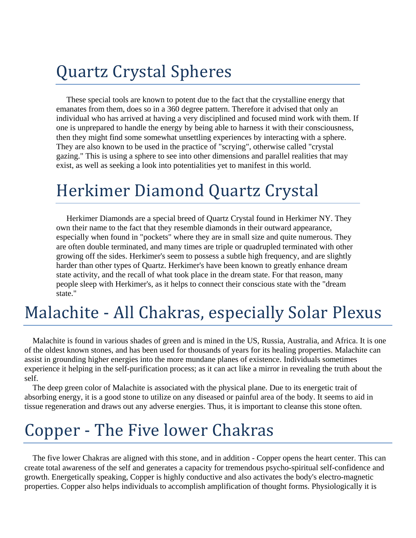## Quartz Crystal Spheres

 These special tools are known to potent due to the fact that the crystalline energy that emanates from them, does so in a 360 degree pattern. Therefore it advised that only an individual who has arrived at having a very disciplined and focused mind work with them. If one is unprepared to handle the energy by being able to harness it with their consciousness, then they might find some somewhat unsettling experiences by interacting with a sphere. They are also known to be used in the practice of "scrying", otherwise called "crystal gazing." This is using a sphere to see into other dimensions and parallel realities that may exist, as well as seeking a look into potentialities yet to manifest in this world.

## Herkimer Diamond Quartz Crystal

 Herkimer Diamonds are a special breed of Quartz Crystal found in Herkimer NY. They own their name to the fact that they resemble diamonds in their outward appearance, especially when found in "pockets" where they are in small size and quite numerous. They are often double terminated, and many times are triple or quadrupled terminated with other growing off the sides. Herkimer's seem to possess a subtle high frequency, and are slightly harder than other types of Quartz. Herkimer's have been known to greatly enhance dream state activity, and the recall of what took place in the dream state. For that reason, many people sleep with Herkimer's, as it helps to connect their conscious state with the "dream state."

## Malachite - All Chakras, especially Solar Plexus

 Malachite is found in various shades of green and is mined in the US, Russia, Australia, and Africa. It is one of the oldest known stones, and has been used for thousands of years for its healing properties. Malachite can assist in grounding higher energies into the more mundane planes of existence. Individuals sometimes experience it helping in the self-purification process; as it can act like a mirror in revealing the truth about the self.

 The deep green color of Malachite is associated with the physical plane. Due to its energetic trait of absorbing energy, it is a good stone to utilize on any diseased or painful area of the body. It seems to aid in tissue regeneration and draws out any adverse energies. Thus, it is important to cleanse this stone often.

# Copper - The Five lower Chakras

 The five lower Chakras are aligned with this stone, and in addition - Copper opens the heart center. This can create total awareness of the self and generates a capacity for tremendous psycho-spiritual self-confidence and growth. Energetically speaking, Copper is highly conductive and also activates the body's electro-magnetic properties. Copper also helps individuals to accomplish amplification of thought forms. Physiologically it is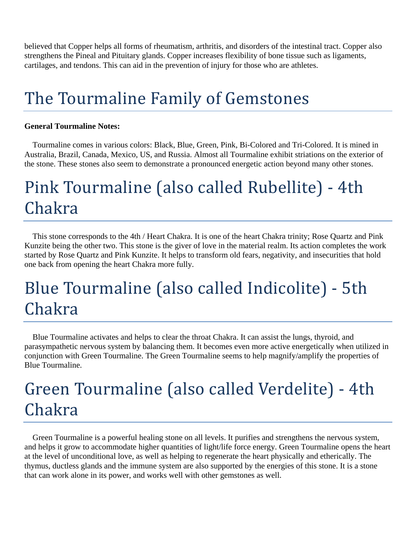believed that Copper helps all forms of rheumatism, arthritis, and disorders of the intestinal tract. Copper also strengthens the Pineal and Pituitary glands. Copper increases flexibility of bone tissue such as ligaments, cartilages, and tendons. This can aid in the prevention of injury for those who are athletes.

# The Tourmaline Family of Gemstones

#### **General Tourmaline Notes:**

 Tourmaline comes in various colors: Black, Blue, Green, Pink, Bi-Colored and Tri-Colored. It is mined in Australia, Brazil, Canada, Mexico, US, and Russia. Almost all Tourmaline exhibit striations on the exterior of the stone. These stones also seem to demonstrate a pronounced energetic action beyond many other stones.

# Pink Tourmaline (also called Rubellite) - 4th Chakra

 This stone corresponds to the 4th / Heart Chakra. It is one of the heart Chakra trinity; Rose Quartz and Pink Kunzite being the other two. This stone is the giver of love in the material realm. Its action completes the work started by Rose Quartz and Pink Kunzite. It helps to transform old fears, negativity, and insecurities that hold one back from opening the heart Chakra more fully.

# Blue Tourmaline (also called Indicolite) - 5th Chakra

 Blue Tourmaline activates and helps to clear the throat Chakra. It can assist the lungs, thyroid, and parasympathetic nervous system by balancing them. It becomes even more active energetically when utilized in conjunction with Green Tourmaline. The Green Tourmaline seems to help magnify/amplify the properties of Blue Tourmaline.

# Green Tourmaline (also called Verdelite) - 4th Chakra

 Green Tourmaline is a powerful healing stone on all levels. It purifies and strengthens the nervous system, and helps it grow to accommodate higher quantities of light/life force energy. Green Tourmaline opens the heart at the level of unconditional love, as well as helping to regenerate the heart physically and etherically. The thymus, ductless glands and the immune system are also supported by the energies of this stone. It is a stone that can work alone in its power, and works well with other gemstones as well.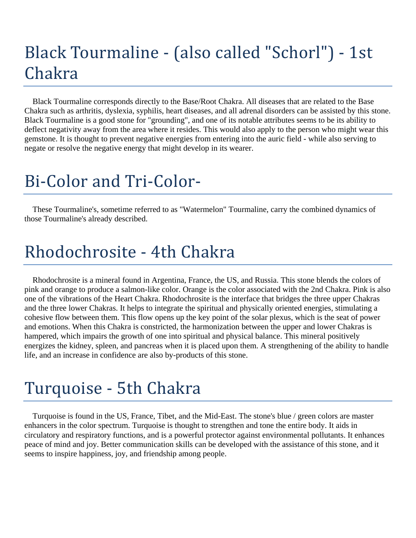# Black Tourmaline - (also called "Schorl") - 1st Chakra

 Black Tourmaline corresponds directly to the Base/Root Chakra. All diseases that are related to the Base Chakra such as arthritis, dyslexia, syphilis, heart diseases, and all adrenal disorders can be assisted by this stone. Black Tourmaline is a good stone for "grounding", and one of its notable attributes seems to be its ability to deflect negativity away from the area where it resides. This would also apply to the person who might wear this gemstone. It is thought to prevent negative energies from entering into the auric field - while also serving to negate or resolve the negative energy that might develop in its wearer.

# Bi-Color and Tri-Color-

 These Tourmaline's, sometime referred to as "Watermelon" Tourmaline, carry the combined dynamics of those Tourmaline's already described.

## Rhodochrosite - 4th Chakra

 Rhodochrosite is a mineral found in Argentina, France, the US, and Russia. This stone blends the colors of pink and orange to produce a salmon-like color. Orange is the color associated with the 2nd Chakra. Pink is also one of the vibrations of the Heart Chakra. Rhodochrosite is the interface that bridges the three upper Chakras and the three lower Chakras. It helps to integrate the spiritual and physically oriented energies, stimulating a cohesive flow between them. This flow opens up the key point of the solar plexus, which is the seat of power and emotions. When this Chakra is constricted, the harmonization between the upper and lower Chakras is hampered, which impairs the growth of one into spiritual and physical balance. This mineral positively energizes the kidney, spleen, and pancreas when it is placed upon them. A strengthening of the ability to handle life, and an increase in confidence are also by-products of this stone.

## Turquoise - 5th Chakra

 Turquoise is found in the US, France, Tibet, and the Mid-East. The stone's blue / green colors are master enhancers in the color spectrum. Turquoise is thought to strengthen and tone the entire body. It aids in circulatory and respiratory functions, and is a powerful protector against environmental pollutants. It enhances peace of mind and joy. Better communication skills can be developed with the assistance of this stone, and it seems to inspire happiness, joy, and friendship among people.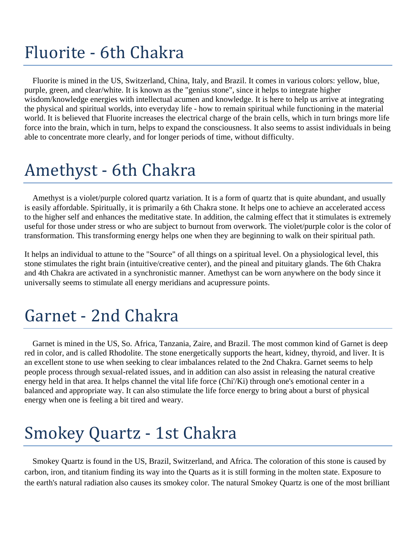# Fluorite - 6th Chakra

 Fluorite is mined in the US, Switzerland, China, Italy, and Brazil. It comes in various colors: yellow, blue, purple, green, and clear/white. It is known as the "genius stone", since it helps to integrate higher wisdom/knowledge energies with intellectual acumen and knowledge. It is here to help us arrive at integrating the physical and spiritual worlds, into everyday life - how to remain spiritual while functioning in the material world. It is believed that Fluorite increases the electrical charge of the brain cells, which in turn brings more life force into the brain, which in turn, helps to expand the consciousness. It also seems to assist individuals in being able to concentrate more clearly, and for longer periods of time, without difficulty.

## Amethyst - 6th Chakra

 Amethyst is a violet/purple colored quartz variation. It is a form of quartz that is quite abundant, and usually is easily affordable. Spiritually, it is primarily a 6th Chakra stone. It helps one to achieve an accelerated access to the higher self and enhances the meditative state. In addition, the calming effect that it stimulates is extremely useful for those under stress or who are subject to burnout from overwork. The violet/purple color is the color of transformation. This transforming energy helps one when they are beginning to walk on their spiritual path.

It helps an individual to attune to the "Source" of all things on a spiritual level. On a physiological level, this stone stimulates the right brain (intuitive/creative center), and the pineal and pituitary glands. The 6th Chakra and 4th Chakra are activated in a synchronistic manner. Amethyst can be worn anywhere on the body since it universally seems to stimulate all energy meridians and acupressure points.

# Garnet - 2nd Chakra

 Garnet is mined in the US, So. Africa, Tanzania, Zaire, and Brazil. The most common kind of Garnet is deep red in color, and is called Rhodolite. The stone energetically supports the heart, kidney, thyroid, and liver. It is an excellent stone to use when seeking to clear imbalances related to the 2nd Chakra. Garnet seems to help people process through sexual-related issues, and in addition can also assist in releasing the natural creative energy held in that area. It helps channel the vital life force (Chi'/Ki) through one's emotional center in a balanced and appropriate way. It can also stimulate the life force energy to bring about a burst of physical energy when one is feeling a bit tired and weary.

# Smokey Quartz - 1st Chakra

 Smokey Quartz is found in the US, Brazil, Switzerland, and Africa. The coloration of this stone is caused by carbon, iron, and titanium finding its way into the Quarts as it is still forming in the molten state. Exposure to the earth's natural radiation also causes its smokey color. The natural Smokey Quartz is one of the most brilliant